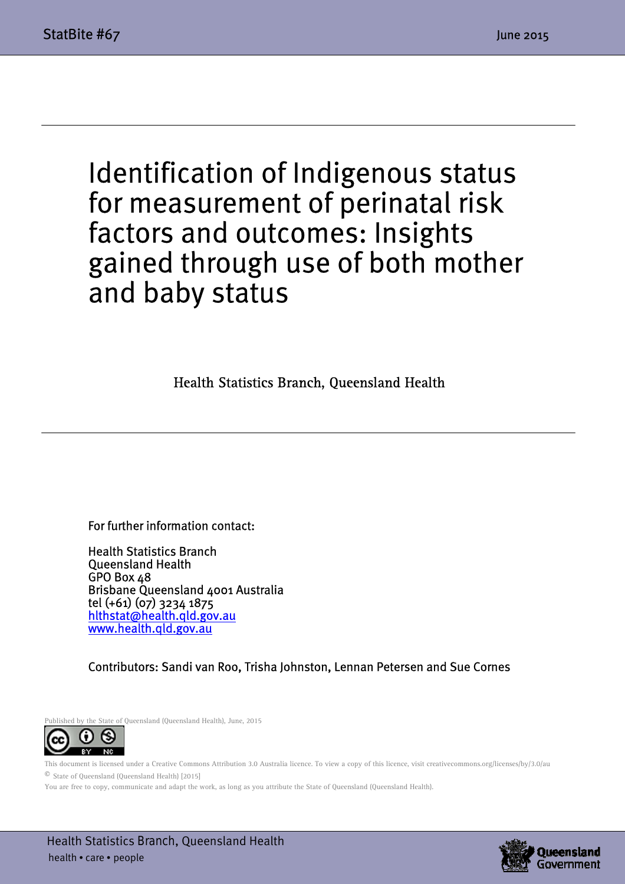$\overline{a}$ 

 $\overline{a}$ 

## Identification of Indigenous status for measurement of perinatal risk factors and outcomes: Insights gained through use of both mother and baby status

Health Statistics Branch, Queensland Health

For further information contact:

Health Statistics Branch Queensland Health GPO Box 48 Brisbane Queensland 4001 Australia tel (+61) (07) 3234 1875 hlthstat@health.qld.gov.au www.health.qld.gov.au

Contributors: Sandi van Roo, Trisha Johnston, Lennan Petersen and Sue Cornes

Published by the State of Queensland (Queensland Health), June, 2015



This document is licensed under a Creative Commons Attribution 3.0 Australia licence. To view a copy of this licence, visit creativecommons.org/licenses/by/3.0/au © State of Queensland (Queensland Health) [2015]

You are free to copy, communicate and adapt the work, as long as you attribute the State of Queensland (Queensland Health).

 Health Statistics Branch, Queensland Health health • care • people

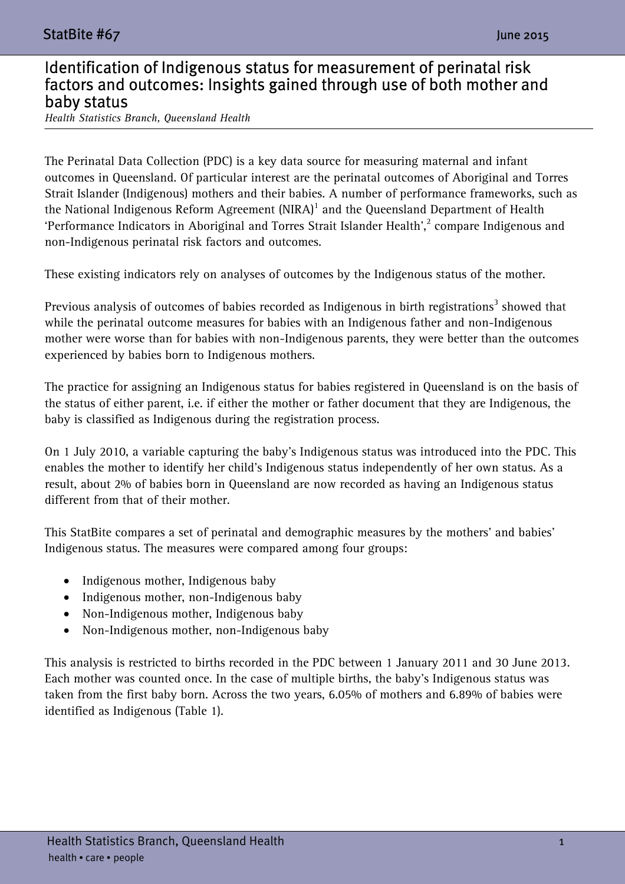## Identification of Indigenous status for measurement of perinatal risk factors and outcomes: Insights gained through use of both mother and baby status

*Health Statistics Branch, Queensland Health* 

The Perinatal Data Collection (PDC) is a key data source for measuring maternal and infant outcomes in Queensland. Of particular interest are the perinatal outcomes of Aboriginal and Torres Strait Islander (Indigenous) mothers and their babies. A number of performance frameworks, such as the National Indigenous Reform Agreement  $(NIRA)^1$  and the Queensland Department of Health 'Performance Indicators in Aboriginal and Torres Strait Islander Health', $^2$  compare Indigenous and non-Indigenous perinatal risk factors and outcomes.

These existing indicators rely on analyses of outcomes by the Indigenous status of the mother.

Previous analysis of outcomes of babies recorded as Indigenous in birth registrations $^3$  showed that while the perinatal outcome measures for babies with an Indigenous father and non-Indigenous mother were worse than for babies with non-Indigenous parents, they were better than the outcomes experienced by babies born to Indigenous mothers.

The practice for assigning an Indigenous status for babies registered in Queensland is on the basis of the status of either parent, i.e. if either the mother or father document that they are Indigenous, the baby is classified as Indigenous during the registration process.

On 1 July 2010, a variable capturing the baby's Indigenous status was introduced into the PDC. This enables the mother to identify her child's Indigenous status independently of her own status. As a result, about 2% of babies born in Queensland are now recorded as having an Indigenous status different from that of their mother.

This StatBite compares a set of perinatal and demographic measures by the mothers' and babies' Indigenous status. The measures were compared among four groups:

- Indigenous mother, Indigenous baby
- Indigenous mother, non-Indigenous baby
- Non-Indigenous mother, Indigenous baby
- Non-Indigenous mother, non-Indigenous baby

This analysis is restricted to births recorded in the PDC between 1 January 2011 and 30 June 2013. Each mother was counted once. In the case of multiple births, the baby's Indigenous status was taken from the first baby born. Across the two years, 6.05% of mothers and 6.89% of babies were identified as Indigenous (Table 1).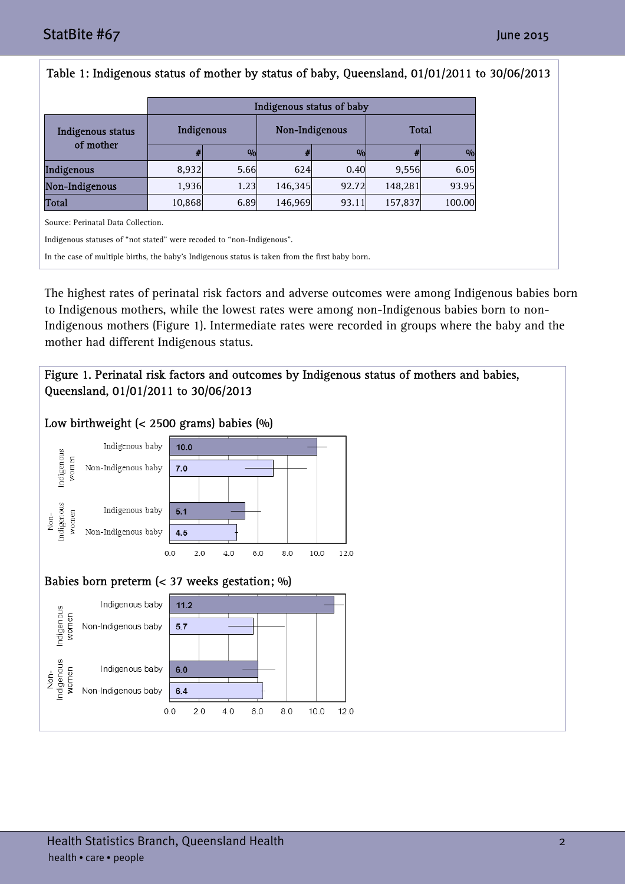| Table 1: Indigenous status of mother by status of baby, Queensland, 01/01/2011 to 30/06/2013    |                           |          |                |       |         |          |
|-------------------------------------------------------------------------------------------------|---------------------------|----------|----------------|-------|---------|----------|
|                                                                                                 | Indigenous status of baby |          |                |       |         |          |
| Indigenous status<br>of mother                                                                  | Indigenous                |          | Non-Indigenous |       | Total   |          |
|                                                                                                 | #                         | $\alpha$ | #              | 0/0   | #       | $\alpha$ |
| Indigenous                                                                                      | 8,932                     | 5.66     | 624            | 0.40  | 9,556   | 6.05     |
| Non-Indigenous                                                                                  | 1,936                     | 1.23     | 146,345        | 92.72 | 148,281 | 93.95    |
| <b>Total</b>                                                                                    | 10,868                    | 6.89     | 146,969        | 93.11 | 157,837 | 100.00   |
| Source: Perinatal Data Collection.                                                              |                           |          |                |       |         |          |
| Indigenous statuses of "not stated" were recoded to "non-Indigenous".                           |                           |          |                |       |         |          |
| In the case of multiple births, the baby's Indigenous status is taken from the first baby born. |                           |          |                |       |         |          |
|                                                                                                 |                           |          |                |       |         |          |

The highest rates of perinatal risk factors and adverse outcomes were among Indigenous babies born to Indigenous mothers, while the lowest rates were among non-Indigenous babies born to non-Indigenous mothers (Figure 1). Intermediate rates were recorded in groups where the baby and the mother had different Indigenous status.

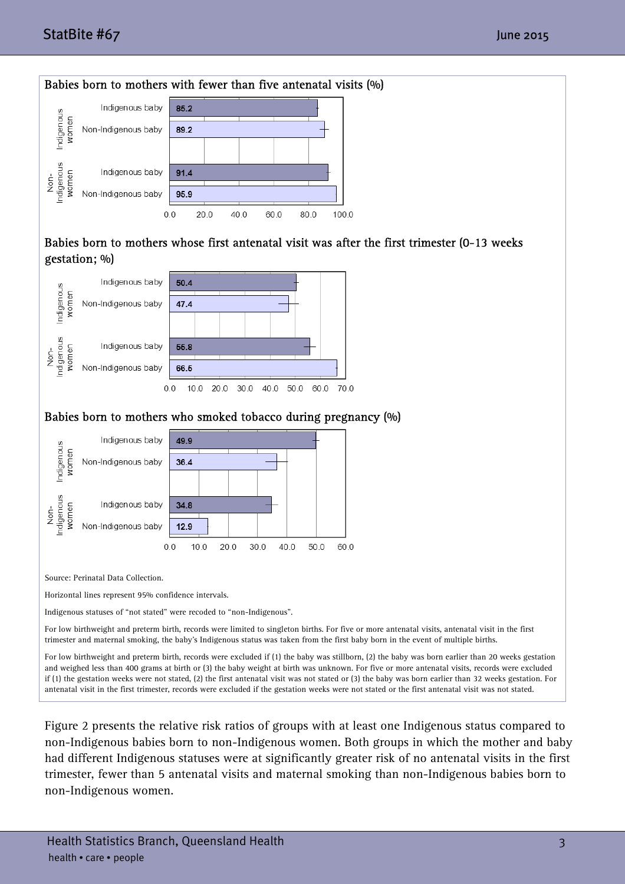## StatBite #67 June 2015 StatBite #67 June 2015



Figure 2 presents the relative risk ratios of groups with at least one Indigenous status compared to non-Indigenous babies born to non-Indigenous women. Both groups in which the mother and baby had different Indigenous statuses were at significantly greater risk of no antenatal visits in the first trimester, fewer than 5 antenatal visits and maternal smoking than non-Indigenous babies born to non-Indigenous women.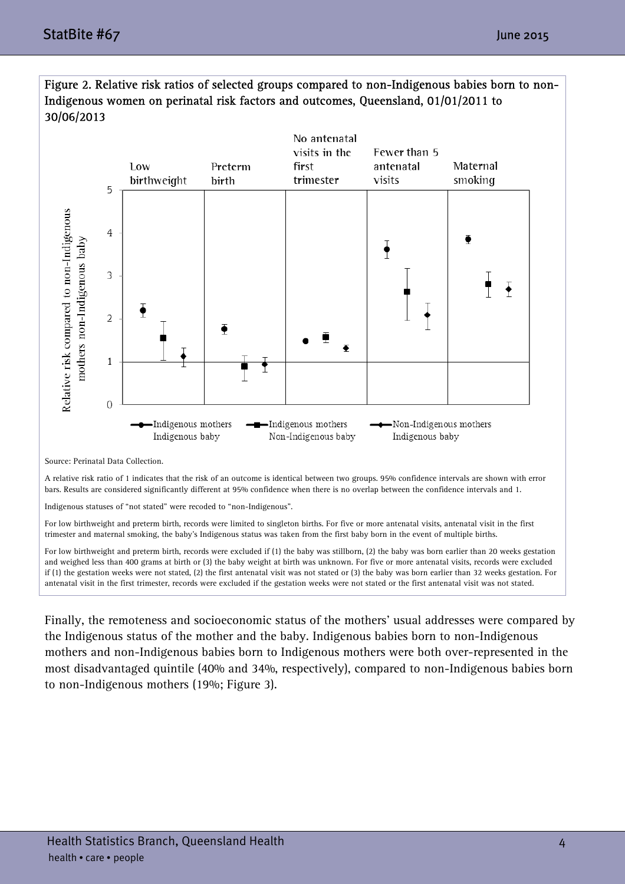

Figure 2. Relative risk ratios of selected groups compared to non-Indigenous babies born to non-Indigenous women on perinatal risk factors and outcomes, Queensland, 01/01/2011 to 30/06/2013

Source: Perinatal Data Collection.

A relative risk ratio of 1 indicates that the risk of an outcome is identical between two groups. 95% confidence intervals are shown with error bars. Results are considered significantly different at 95% confidence when there is no overlap between the confidence intervals and 1.

Indigenous statuses of "not stated" were recoded to "non-Indigenous".

For low birthweight and preterm birth, records were limited to singleton births. For five or more antenatal visits, antenatal visit in the first trimester and maternal smoking, the baby's Indigenous status was taken from the first baby born in the event of multiple births.

For low birthweight and preterm birth, records were excluded if (1) the baby was stillborn, (2) the baby was born earlier than 20 weeks gestation and weighed less than 400 grams at birth or (3) the baby weight at birth was unknown. For five or more antenatal visits, records were excluded if (1) the gestation weeks were not stated, (2) the first antenatal visit was not stated or (3) the baby was born earlier than 32 weeks gestation. For antenatal visit in the first trimester, records were excluded if the gestation weeks were not stated or the first antenatal visit was not stated.

Finally, the remoteness and socioeconomic status of the mothers' usual addresses were compared by the Indigenous status of the mother and the baby. Indigenous babies born to non-Indigenous mothers and non-Indigenous babies born to Indigenous mothers were both over-represented in the most disadvantaged quintile (40% and 34%, respectively), compared to non-Indigenous babies born to non-Indigenous mothers (19%; Figure 3).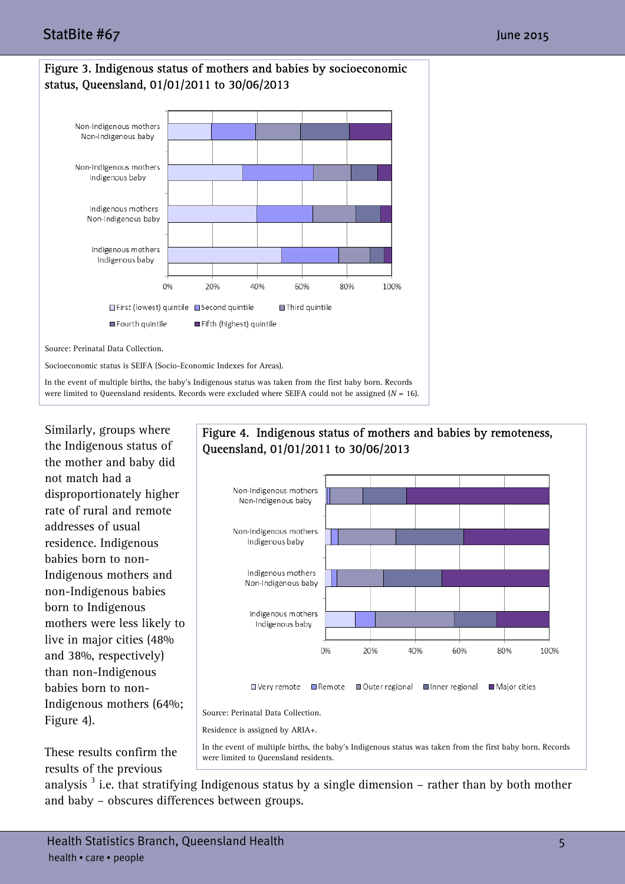



Socioeconomic status is SEIFA (Socio-Economic Indexes for Areas).

In the event of multiple births, the baby's Indigenous status was taken from the first baby born. Records were limited to Queensland residents. Records were excluded where SEIFA could not be assigned (*N* = 16).

Similarly, groups where the Indigenous status of the mother and baby did not match had a disproportionately higher rate of rural and remote addresses of usual residence. Indigenous babies born to non-Indigenous mothers and non-Indigenous babies born to Indigenous mothers were less likely to live in major cities (48% and 38%, respectively) than non-Indigenous babies born to non-Indigenous mothers (64%; Figure 4).



These results confirm the results of the previous

were limited to Queensland residents.

analysis<sup>3</sup> i.e. that stratifying Indigenous status by a single dimension – rather than by both mother and baby – obscures differences between groups.